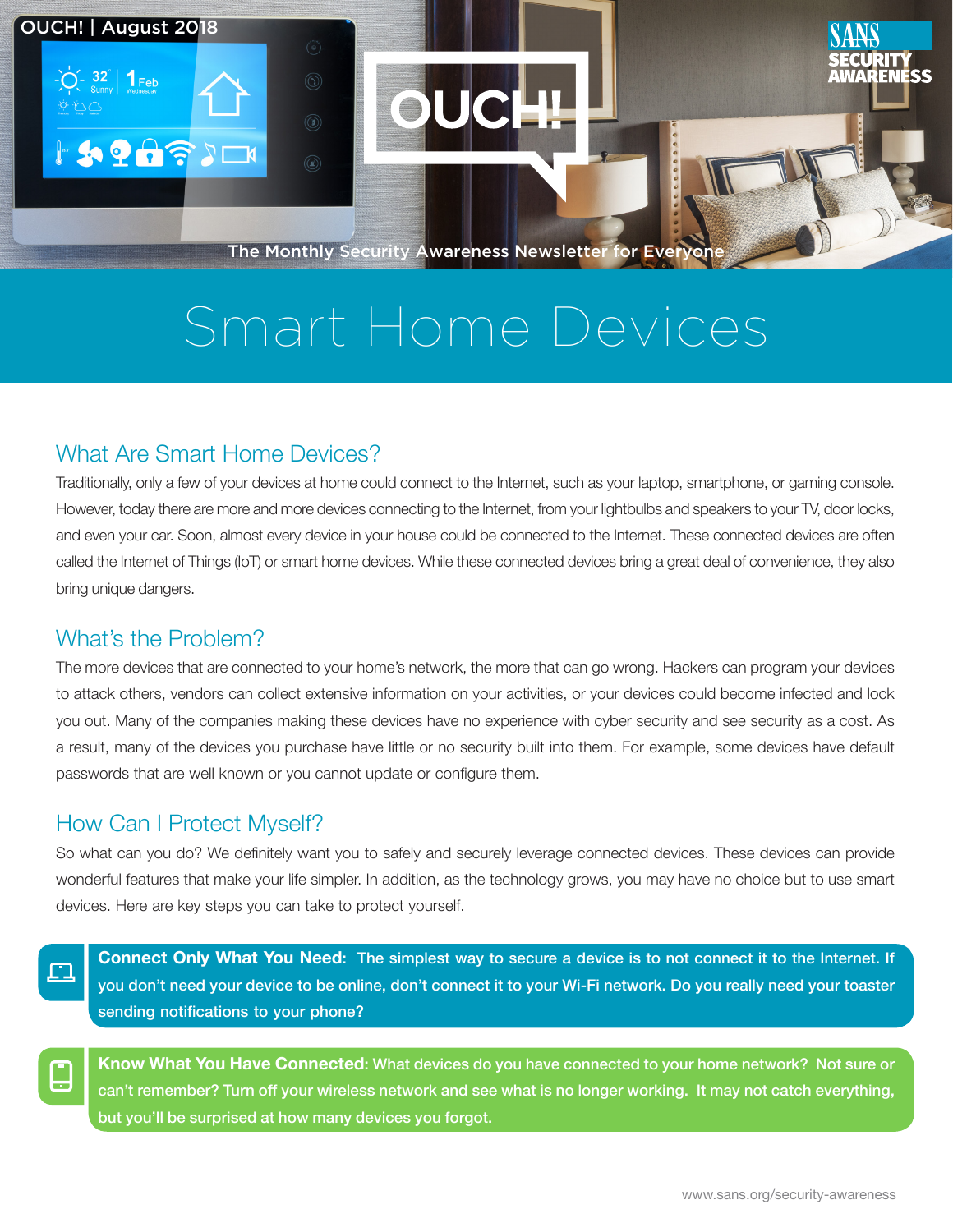

# Smart Home Devices

# What Are Smart Home Devices?

Traditionally, only a few of your devices at home could connect to the Internet, such as your laptop, smartphone, or gaming console. However, today there are more and more devices connecting to the Internet, from your lightbulbs and speakers to your TV, door locks, and even your car. Soon, almost every device in your house could be connected to the Internet. These connected devices are often called the Internet of Things (IoT) or smart home devices. While these connected devices bring a great deal of convenience, they also bring unique dangers.

### What's the Problem?

OUCH! | August 2018

**ISPASION** 

The more devices that are connected to your home's network, the more that can go wrong. Hackers can program your devices to attack others, vendors can collect extensive information on your activities, or your devices could become infected and lock you out. Many of the companies making these devices have no experience with cyber security and see security as a cost. As a result, many of the devices you purchase have little or no security built into them. For example, some devices have default passwords that are well known or you cannot update or configure them.

## How Can I Protect Myself?

So what can you do? We definitely want you to safely and securely leverage connected devices. These devices can provide wonderful features that make your life simpler. In addition, as the technology grows, you may have no choice but to use smart devices. Here are key steps you can take to protect yourself.

n

Connect Only What You Need: The simplest way to secure a device is to not connect it to the Internet. If you don't need your device to be online, don't connect it to your Wi-Fi network. Do you really need your toaster sending notifications to your phone?



Know What You Have Connected: What devices do you have connected to your home network? Not sure or can't remember? Turn off your wireless network and see what is no longer working. It may not catch everything, but you'll be surprised at how many devices you forgot.

ENESS